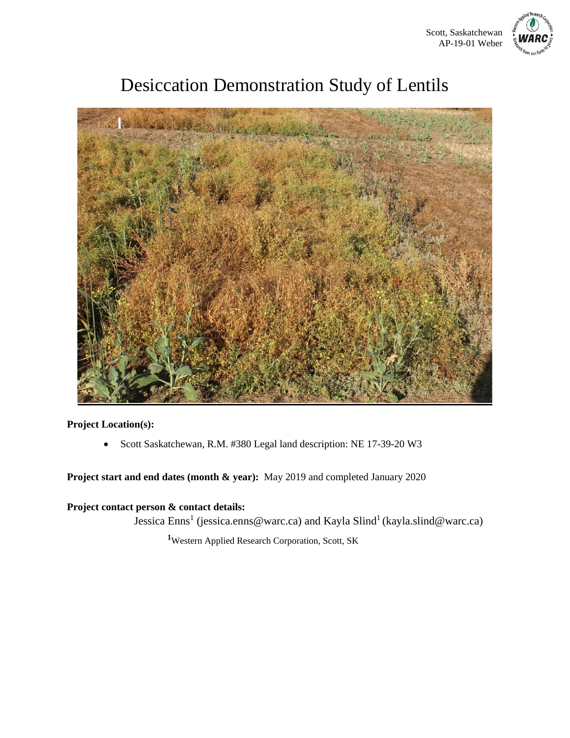

# Desiccation Demonstration Study of Lentils



**Project Location(s):**

• Scott Saskatchewan, R.M. #380 Legal land description: NE 17-39-20 W3

**Project start and end dates (month & year):** May 2019 and completed January 2020

**Project contact person & contact details:** 

Jessica Enns<sup>1</sup> (jessica.enns@warc.ca) and Kayla Slind<sup>1</sup> (kayla.slind@warc.ca)

**<sup>1</sup>**Western Applied Research Corporation, Scott, SK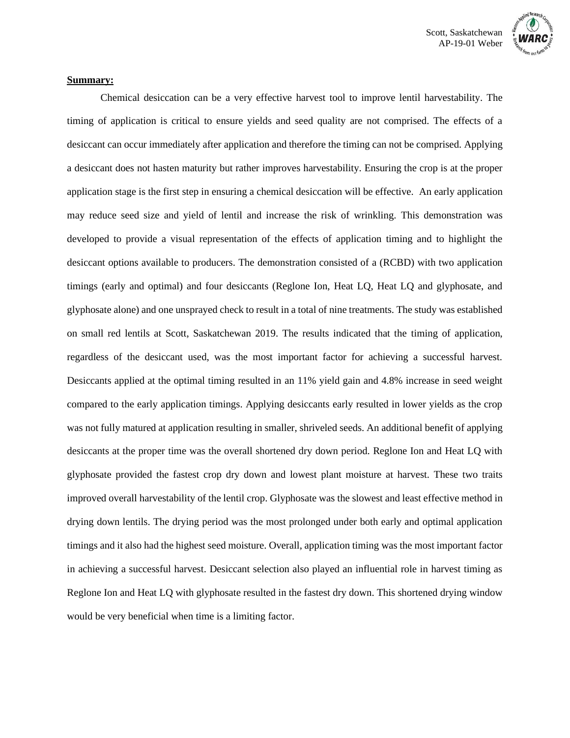

#### **Summary:**

Chemical desiccation can be a very effective harvest tool to improve lentil harvestability. The timing of application is critical to ensure yields and seed quality are not comprised. The effects of a desiccant can occur immediately after application and therefore the timing can not be comprised. Applying a desiccant does not hasten maturity but rather improves harvestability. Ensuring the crop is at the proper application stage is the first step in ensuring a chemical desiccation will be effective. An early application may reduce seed size and yield of lentil and increase the risk of wrinkling. This demonstration was developed to provide a visual representation of the effects of application timing and to highlight the desiccant options available to producers. The demonstration consisted of a (RCBD) with two application timings (early and optimal) and four desiccants (Reglone Ion, Heat LQ, Heat LQ and glyphosate, and glyphosate alone) and one unsprayed check to result in a total of nine treatments. The study was established on small red lentils at Scott, Saskatchewan 2019. The results indicated that the timing of application, regardless of the desiccant used, was the most important factor for achieving a successful harvest. Desiccants applied at the optimal timing resulted in an 11% yield gain and 4.8% increase in seed weight compared to the early application timings. Applying desiccants early resulted in lower yields as the crop was not fully matured at application resulting in smaller, shriveled seeds. An additional benefit of applying desiccants at the proper time was the overall shortened dry down period. Reglone Ion and Heat LQ with glyphosate provided the fastest crop dry down and lowest plant moisture at harvest. These two traits improved overall harvestability of the lentil crop. Glyphosate was the slowest and least effective method in drying down lentils. The drying period was the most prolonged under both early and optimal application timings and it also had the highest seed moisture. Overall, application timing was the most important factor in achieving a successful harvest. Desiccant selection also played an influential role in harvest timing as Reglone Ion and Heat LQ with glyphosate resulted in the fastest dry down. This shortened drying window would be very beneficial when time is a limiting factor.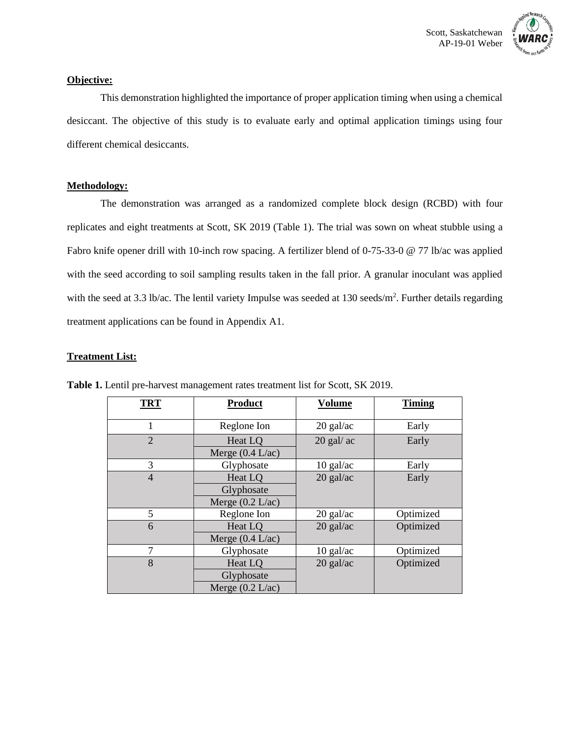

#### **Objective:**

This demonstration highlighted the importance of proper application timing when using a chemical desiccant. The objective of this study is to evaluate early and optimal application timings using four different chemical desiccants.

#### **Methodology:**

The demonstration was arranged as a randomized complete block design (RCBD) with four replicates and eight treatments at Scott, SK 2019 (Table 1). The trial was sown on wheat stubble using a Fabro knife opener drill with 10-inch row spacing. A fertilizer blend of 0-75-33-0 @ 77 lb/ac was applied with the seed according to soil sampling results taken in the fall prior. A granular inoculant was applied with the seed at 3.3 lb/ac. The lentil variety Impulse was seeded at 130 seeds/m<sup>2</sup>. Further details regarding treatment applications can be found in Appendix A1.

#### **Treatment List:**

| <b>TRT</b>     | <b>Product</b>                              | Volume       | <b>Timing</b> |  |
|----------------|---------------------------------------------|--------------|---------------|--|
|                | Reglone Ion                                 | $20$ gal/ac  | Early         |  |
| $\overline{2}$ | Heat LO<br>Merge $(0.4 \text{ L/ac})$       | $20$ gal/ ac | Early         |  |
| 3              | Glyphosate                                  | $10$ gal/ac  | Early         |  |
| $\overline{4}$ | Heat LO<br>Glyphosate<br>Merge $(0.2 L/ac)$ | $20$ gal/ac  | Early         |  |
| 5              | Reglone Ion                                 | $20$ gal/ac  | Optimized     |  |
| 6              | Heat LO<br>Merge $(0.4 \text{ L/ac})$       | $20$ gal/ac  | Optimized     |  |
| 7              | Glyphosate                                  | $10$ gal/ac  | Optimized     |  |
| 8              | Heat LQ<br>Glyphosate<br>Merge $(0.2 L/ac)$ | $20$ gal/ac  | Optimized     |  |

**Table 1.** Lentil pre-harvest management rates treatment list for Scott, SK 2019.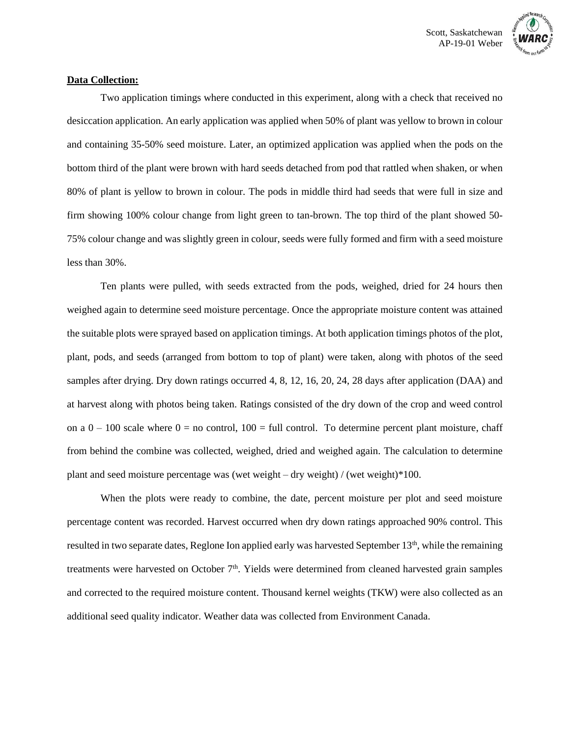

## **Data Collection:**

Two application timings where conducted in this experiment, along with a check that received no desiccation application. An early application was applied when 50% of plant was yellow to brown in colour and containing 35-50% seed moisture. Later, an optimized application was applied when the pods on the bottom third of the plant were brown with hard seeds detached from pod that rattled when shaken, or when 80% of plant is yellow to brown in colour. The pods in middle third had seeds that were full in size and firm showing 100% colour change from light green to tan-brown. The top third of the plant showed 50- 75% colour change and was slightly green in colour, seeds were fully formed and firm with a seed moisture less than 30%.

Ten plants were pulled, with seeds extracted from the pods, weighed, dried for 24 hours then weighed again to determine seed moisture percentage. Once the appropriate moisture content was attained the suitable plots were sprayed based on application timings. At both application timings photos of the plot, plant, pods, and seeds (arranged from bottom to top of plant) were taken, along with photos of the seed samples after drying. Dry down ratings occurred 4, 8, 12, 16, 20, 24, 28 days after application (DAA) and at harvest along with photos being taken. Ratings consisted of the dry down of the crop and weed control on a  $0 - 100$  scale where  $0 =$  no control,  $100 =$  full control. To determine percent plant moisture, chaff from behind the combine was collected, weighed, dried and weighed again. The calculation to determine plant and seed moisture percentage was (wet weight – dry weight) / (wet weight)\*100.

When the plots were ready to combine, the date, percent moisture per plot and seed moisture percentage content was recorded. Harvest occurred when dry down ratings approached 90% control. This resulted in two separate dates, Reglone Ion applied early was harvested September  $13<sup>th</sup>$ , while the remaining treatments were harvested on October 7<sup>th</sup>. Yields were determined from cleaned harvested grain samples and corrected to the required moisture content. Thousand kernel weights (TKW) were also collected as an additional seed quality indicator. Weather data was collected from Environment Canada.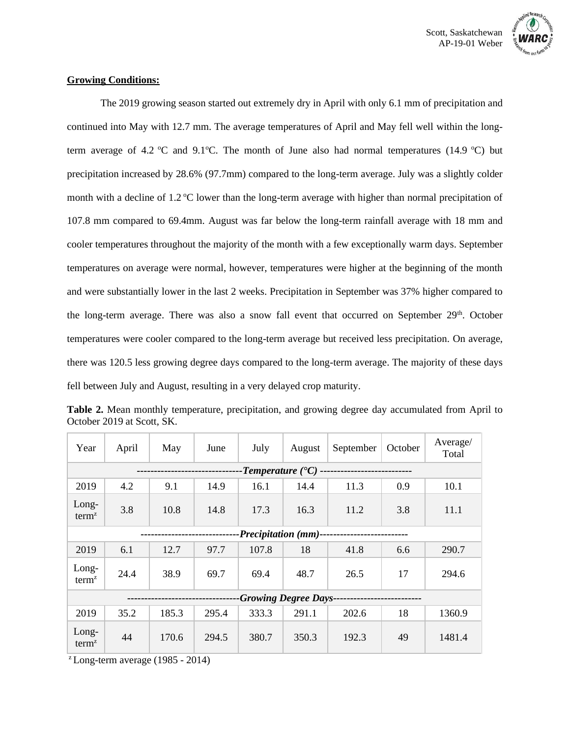



#### **Growing Conditions:**

The 2019 growing season started out extremely dry in April with only 6.1 mm of precipitation and continued into May with 12.7 mm. The average temperatures of April and May fell well within the longterm average of 4.2 °C and 9.1°C. The month of June also had normal temperatures (14.9 °C) but precipitation increased by 28.6% (97.7mm) compared to the long-term average. July was a slightly colder month with a decline of  $1.2 \text{ °C}$  lower than the long-term average with higher than normal precipitation of 107.8 mm compared to 69.4mm. August was far below the long-term rainfall average with 18 mm and cooler temperatures throughout the majority of the month with a few exceptionally warm days. September temperatures on average were normal, however, temperatures were higher at the beginning of the month and were substantially lower in the last 2 weeks. Precipitation in September was 37% higher compared to the long-term average. There was also a snow fall event that occurred on September 29<sup>th</sup>. October temperatures were cooler compared to the long-term average but received less precipitation. On average, there was 120.5 less growing degree days compared to the long-term average. The majority of these days fell between July and August, resulting in a very delayed crop maturity.

| Year                                  | April | May   | June  | July  | August | September | October | Average/<br>Total |
|---------------------------------------|-------|-------|-------|-------|--------|-----------|---------|-------------------|
| -Temperature ( $\rm ^{\bullet}C$ ) -- |       |       |       |       |        |           |         |                   |
| 2019                                  | 4.2   | 9.1   | 14.9  | 16.1  | 14.4   | 11.3      | 0.9     | 10.1              |
| $Long-$<br>term <sup>z</sup>          | 3.8   | 10.8  | 14.8  | 17.3  | 16.3   | 11.2      | 3.8     | 11.1              |
| -Precipitation (mm)---                |       |       |       |       |        |           |         |                   |
| 2019                                  | 6.1   | 12.7  | 97.7  | 107.8 | 18     | 41.8      | 6.6     | 290.7             |
| Long-<br>term <sup>z</sup>            | 24.4  | 38.9  | 69.7  | 69.4  | 48.7   | 26.5      | 17      | 294.6             |
| <b>-Growing Degree Days-</b>          |       |       |       |       |        |           |         |                   |
| 2019                                  | 35.2  | 185.3 | 295.4 | 333.3 | 291.1  | 202.6     | 18      | 1360.9            |
| Long-<br>term <sup>z</sup>            | 44    | 170.6 | 294.5 | 380.7 | 350.3  | 192.3     | 49      | 1481.4            |

**Table 2.** Mean monthly temperature, precipitation, and growing degree day accumulated from April to October 2019 at Scott, SK.

 $\textdegree$  Long-term average (1985 - 2014)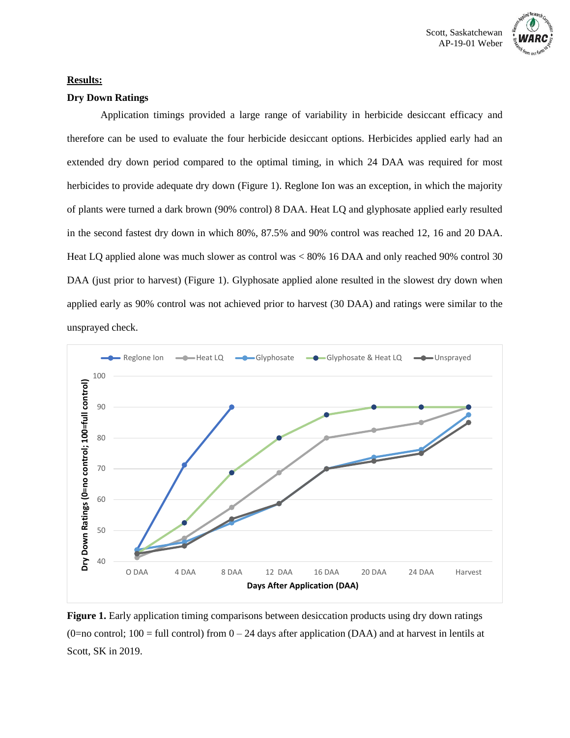



#### **Results:**

#### **Dry Down Ratings**

Application timings provided a large range of variability in herbicide desiccant efficacy and therefore can be used to evaluate the four herbicide desiccant options. Herbicides applied early had an extended dry down period compared to the optimal timing, in which 24 DAA was required for most herbicides to provide adequate dry down (Figure 1). Reglone Ion was an exception, in which the majority of plants were turned a dark brown (90% control) 8 DAA. Heat LQ and glyphosate applied early resulted in the second fastest dry down in which 80%, 87.5% and 90% control was reached 12, 16 and 20 DAA. Heat LQ applied alone was much slower as control was < 80% 16 DAA and only reached 90% control 30 DAA (just prior to harvest) (Figure 1). Glyphosate applied alone resulted in the slowest dry down when applied early as 90% control was not achieved prior to harvest (30 DAA) and ratings were similar to the unsprayed check.



**Figure 1.** Early application timing comparisons between desiccation products using dry down ratings (0=no control; 100 = full control) from  $0 - 24$  days after application (DAA) and at harvest in lentils at Scott, SK in 2019.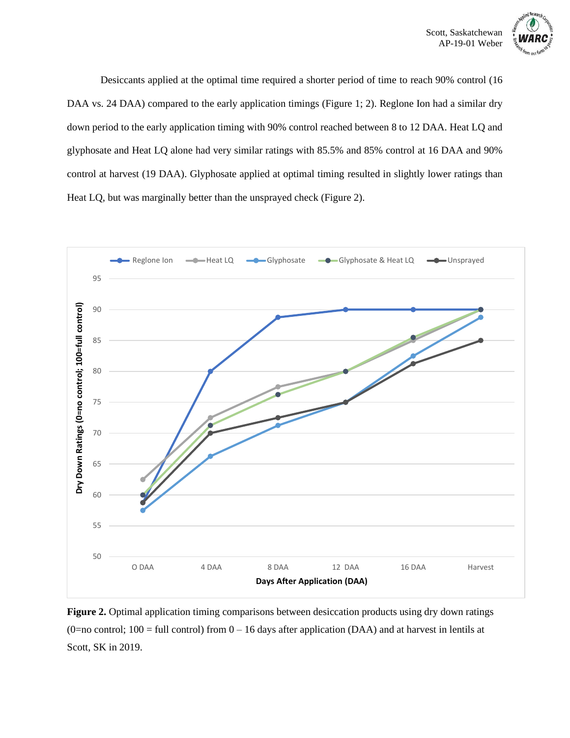

Desiccants applied at the optimal time required a shorter period of time to reach 90% control (16 DAA vs. 24 DAA) compared to the early application timings (Figure 1; 2). Reglone Ion had a similar dry down period to the early application timing with 90% control reached between 8 to 12 DAA. Heat LQ and glyphosate and Heat LQ alone had very similar ratings with 85.5% and 85% control at 16 DAA and 90% control at harvest (19 DAA). Glyphosate applied at optimal timing resulted in slightly lower ratings than Heat LQ, but was marginally better than the unsprayed check (Figure 2).



**Figure 2.** Optimal application timing comparisons between desiccation products using dry down ratings (0=no control; 100 = full control) from  $0 - 16$  days after application (DAA) and at harvest in lentils at Scott, SK in 2019.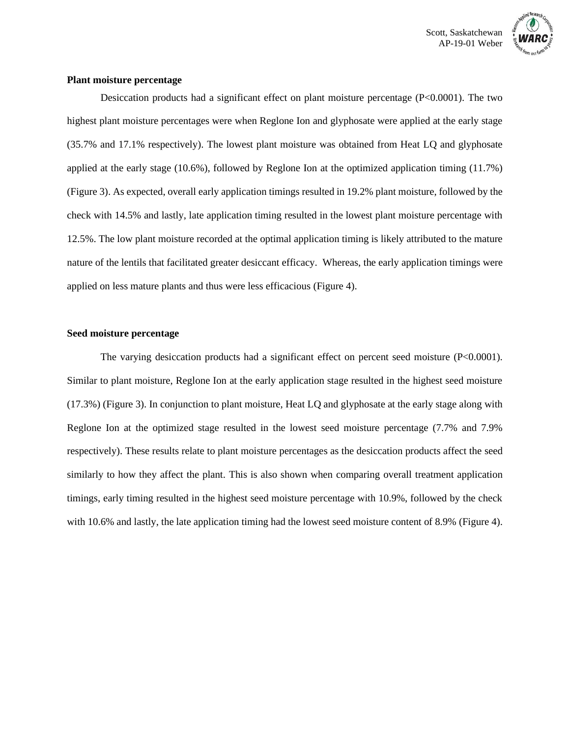

### **Plant moisture percentage**

Desiccation products had a significant effect on plant moisture percentage (P<0.0001). The two highest plant moisture percentages were when Reglone Ion and glyphosate were applied at the early stage (35.7% and 17.1% respectively). The lowest plant moisture was obtained from Heat LQ and glyphosate applied at the early stage (10.6%), followed by Reglone Ion at the optimized application timing (11.7%) (Figure 3). As expected, overall early application timings resulted in 19.2% plant moisture, followed by the check with 14.5% and lastly, late application timing resulted in the lowest plant moisture percentage with 12.5%. The low plant moisture recorded at the optimal application timing is likely attributed to the mature nature of the lentils that facilitated greater desiccant efficacy. Whereas, the early application timings were applied on less mature plants and thus were less efficacious (Figure 4).

#### **Seed moisture percentage**

The varying desiccation products had a significant effect on percent seed moisture  $(P< 0.0001)$ . Similar to plant moisture, Reglone Ion at the early application stage resulted in the highest seed moisture (17.3%) (Figure 3). In conjunction to plant moisture, Heat LQ and glyphosate at the early stage along with Reglone Ion at the optimized stage resulted in the lowest seed moisture percentage (7.7% and 7.9% respectively). These results relate to plant moisture percentages as the desiccation products affect the seed similarly to how they affect the plant. This is also shown when comparing overall treatment application timings, early timing resulted in the highest seed moisture percentage with 10.9%, followed by the check with 10.6% and lastly, the late application timing had the lowest seed moisture content of 8.9% (Figure 4).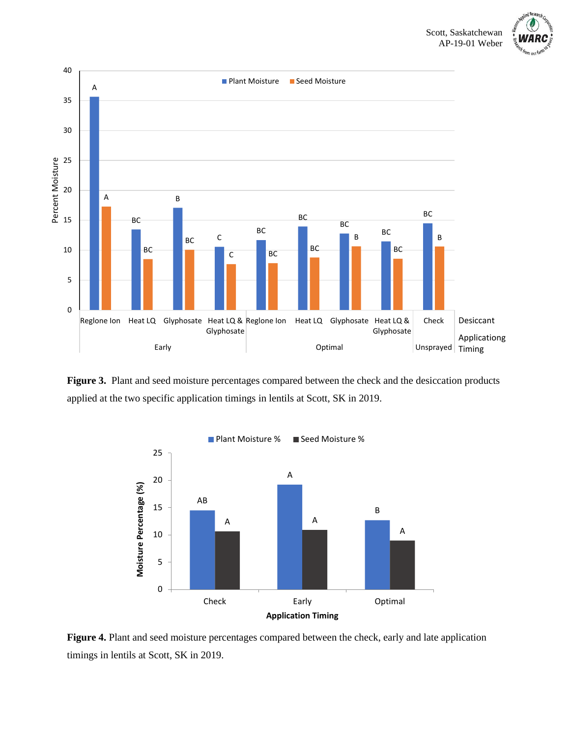



**Figure 3.** Plant and seed moisture percentages compared between the check and the desiccation products applied at the two specific application timings in lentils at Scott, SK in 2019.



**Figure 4.** Plant and seed moisture percentages compared between the check, early and late application timings in lentils at Scott, SK in 2019.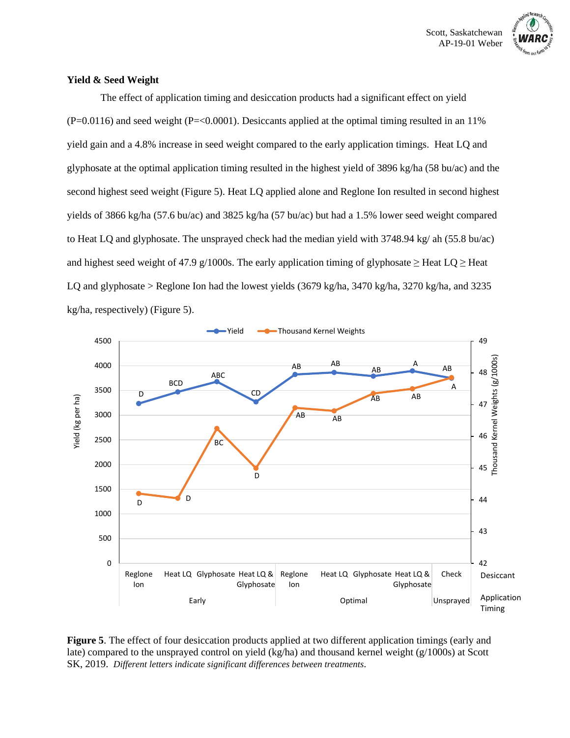

#### **Yield & Seed Weight**

The effect of application timing and desiccation products had a significant effect on yield  $(P=0.0116)$  and seed weight  $(P=<0.0001)$ . Desiccants applied at the optimal timing resulted in an 11% yield gain and a 4.8% increase in seed weight compared to the early application timings. Heat LQ and glyphosate at the optimal application timing resulted in the highest yield of 3896 kg/ha (58 bu/ac) and the second highest seed weight (Figure 5). Heat LQ applied alone and Reglone Ion resulted in second highest yields of 3866 kg/ha (57.6 bu/ac) and 3825 kg/ha (57 bu/ac) but had a 1.5% lower seed weight compared to Heat LQ and glyphosate. The unsprayed check had the median yield with 3748.94 kg/ ah (55.8 bu/ac) and highest seed weight of 47.9 g/1000s. The early application timing of glyphosate  $\geq$  Heat LQ  $\geq$  Heat LQ and glyphosate > Reglone Ion had the lowest yields (3679 kg/ha, 3470 kg/ha, 3270 kg/ha, and 3235 kg/ha, respectively) (Figure 5).



**Figure 5**. The effect of four desiccation products applied at two different application timings (early and late) compared to the unsprayed control on yield (kg/ha) and thousand kernel weight (g/1000s) at Scott SK, 2019. *Different letters indicate significant differences between treatments.*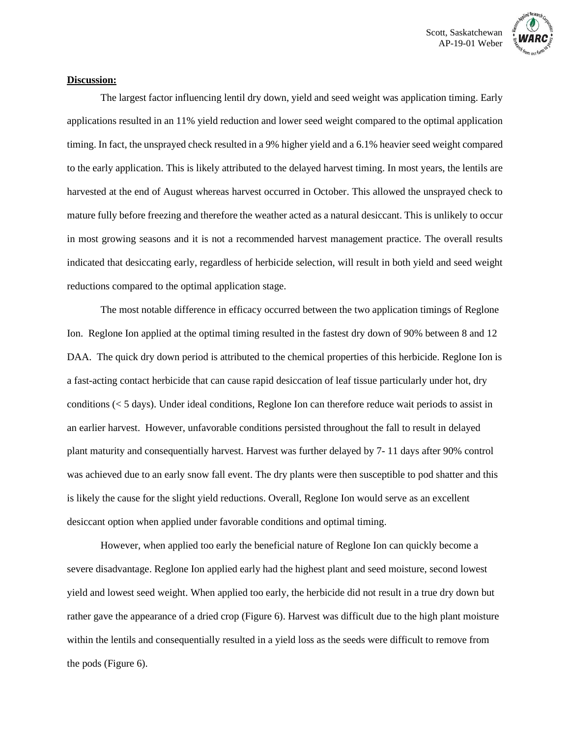

## **Discussion:**

The largest factor influencing lentil dry down, yield and seed weight was application timing. Early applications resulted in an 11% yield reduction and lower seed weight compared to the optimal application timing. In fact, the unsprayed check resulted in a 9% higher yield and a 6.1% heavier seed weight compared to the early application. This is likely attributed to the delayed harvest timing. In most years, the lentils are harvested at the end of August whereas harvest occurred in October. This allowed the unsprayed check to mature fully before freezing and therefore the weather acted as a natural desiccant. This is unlikely to occur in most growing seasons and it is not a recommended harvest management practice. The overall results indicated that desiccating early, regardless of herbicide selection, will result in both yield and seed weight reductions compared to the optimal application stage.

The most notable difference in efficacy occurred between the two application timings of Reglone Ion. Reglone Ion applied at the optimal timing resulted in the fastest dry down of 90% between 8 and 12 DAA. The quick dry down period is attributed to the chemical properties of this herbicide. Reglone Ion is a fast-acting contact herbicide that can cause rapid desiccation of leaf tissue particularly under hot, dry conditions (< 5 days). Under ideal conditions, Reglone Ion can therefore reduce wait periods to assist in an earlier harvest. However, unfavorable conditions persisted throughout the fall to result in delayed plant maturity and consequentially harvest. Harvest was further delayed by 7- 11 days after 90% control was achieved due to an early snow fall event. The dry plants were then susceptible to pod shatter and this is likely the cause for the slight yield reductions. Overall, Reglone Ion would serve as an excellent desiccant option when applied under favorable conditions and optimal timing.

However, when applied too early the beneficial nature of Reglone Ion can quickly become a severe disadvantage. Reglone Ion applied early had the highest plant and seed moisture, second lowest yield and lowest seed weight. When applied too early, the herbicide did not result in a true dry down but rather gave the appearance of a dried crop (Figure 6). Harvest was difficult due to the high plant moisture within the lentils and consequentially resulted in a yield loss as the seeds were difficult to remove from the pods (Figure 6).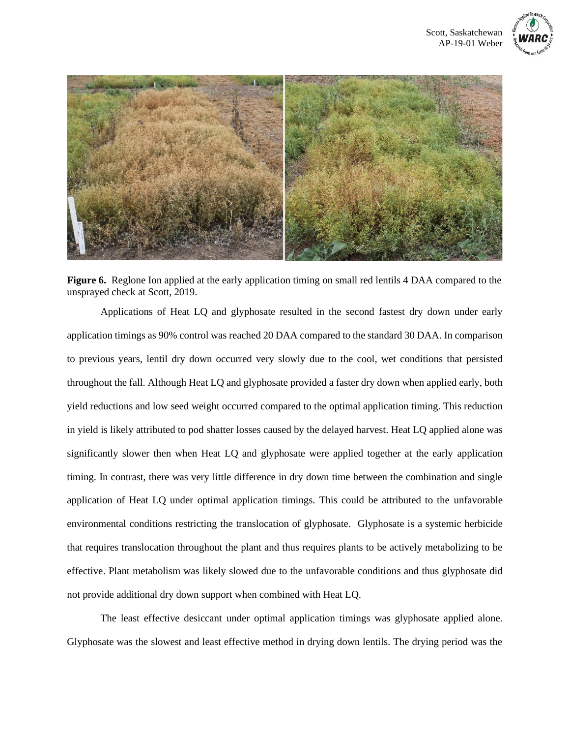



**Figure 6.** Reglone Ion applied at the early application timing on small red lentils 4 DAA compared to the unsprayed check at Scott, 2019.

Applications of Heat LQ and glyphosate resulted in the second fastest dry down under early application timings as 90% control was reached 20 DAA compared to the standard 30 DAA. In comparison to previous years, lentil dry down occurred very slowly due to the cool, wet conditions that persisted throughout the fall. Although Heat LQ and glyphosate provided a faster dry down when applied early, both yield reductions and low seed weight occurred compared to the optimal application timing. This reduction in yield is likely attributed to pod shatter losses caused by the delayed harvest. Heat LQ applied alone was significantly slower then when Heat LQ and glyphosate were applied together at the early application timing. In contrast, there was very little difference in dry down time between the combination and single application of Heat LQ under optimal application timings. This could be attributed to the unfavorable environmental conditions restricting the translocation of glyphosate. Glyphosate is a systemic herbicide that requires translocation throughout the plant and thus requires plants to be actively metabolizing to be effective. Plant metabolism was likely slowed due to the unfavorable conditions and thus glyphosate did not provide additional dry down support when combined with Heat LQ.

The least effective desiccant under optimal application timings was glyphosate applied alone. Glyphosate was the slowest and least effective method in drying down lentils. The drying period was the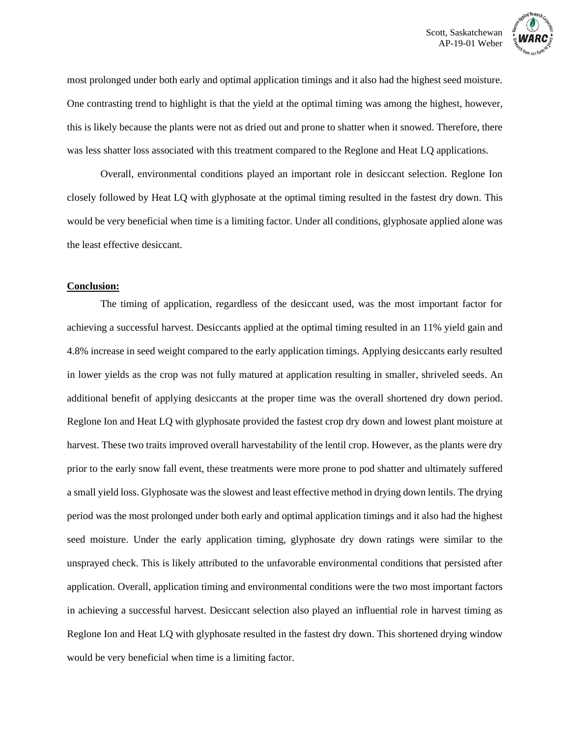

most prolonged under both early and optimal application timings and it also had the highest seed moisture. One contrasting trend to highlight is that the yield at the optimal timing was among the highest, however, this is likely because the plants were not as dried out and prone to shatter when it snowed. Therefore, there was less shatter loss associated with this treatment compared to the Reglone and Heat LQ applications.

Overall, environmental conditions played an important role in desiccant selection. Reglone Ion closely followed by Heat LQ with glyphosate at the optimal timing resulted in the fastest dry down. This would be very beneficial when time is a limiting factor. Under all conditions, glyphosate applied alone was the least effective desiccant.

#### **Conclusion:**

The timing of application, regardless of the desiccant used, was the most important factor for achieving a successful harvest. Desiccants applied at the optimal timing resulted in an 11% yield gain and 4.8% increase in seed weight compared to the early application timings. Applying desiccants early resulted in lower yields as the crop was not fully matured at application resulting in smaller, shriveled seeds. An additional benefit of applying desiccants at the proper time was the overall shortened dry down period. Reglone Ion and Heat LQ with glyphosate provided the fastest crop dry down and lowest plant moisture at harvest. These two traits improved overall harvestability of the lentil crop. However, as the plants were dry prior to the early snow fall event, these treatments were more prone to pod shatter and ultimately suffered a small yield loss. Glyphosate was the slowest and least effective method in drying down lentils. The drying period was the most prolonged under both early and optimal application timings and it also had the highest seed moisture. Under the early application timing, glyphosate dry down ratings were similar to the unsprayed check. This is likely attributed to the unfavorable environmental conditions that persisted after application. Overall, application timing and environmental conditions were the two most important factors in achieving a successful harvest. Desiccant selection also played an influential role in harvest timing as Reglone Ion and Heat LQ with glyphosate resulted in the fastest dry down. This shortened drying window would be very beneficial when time is a limiting factor.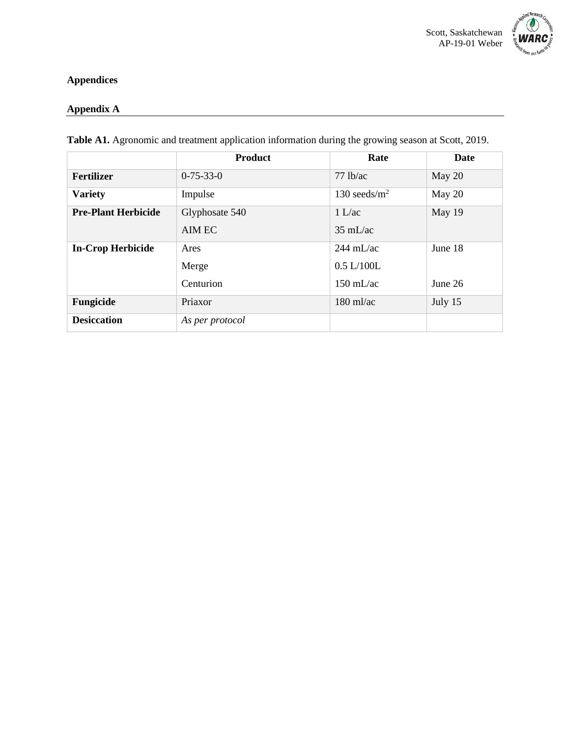

# **Appendices**

# **Appendix A**

|                            | <b>Product</b>    | Rate                | Date    |
|----------------------------|-------------------|---------------------|---------|
| <b>Fertilizer</b>          | $0 - 75 - 33 - 0$ | $77$ lb/ac          | May 20  |
| <b>Variety</b>             | Impulse           | 130 seeds/ $m2$     | May 20  |
| <b>Pre-Plant Herbicide</b> | Glyphosate 540    | 1 L/ac              | May 19  |
|                            | AIM EC            | $35 \text{ mL/ac}$  |         |
| <b>In-Crop Herbicide</b>   | Ares              | $244 \text{ mL/ac}$ | June 18 |
|                            | Merge             | 0.5 L/100L          |         |
|                            | Centurion         | $150 \text{ mL/ac}$ | June 26 |
| Fungicide                  | Priaxor           | $180 \text{ ml/ac}$ | July 15 |
| <b>Desiccation</b>         | As per protocol   |                     |         |

**Table A1.** Agronomic and treatment application information during the growing season at Scott, 2019.